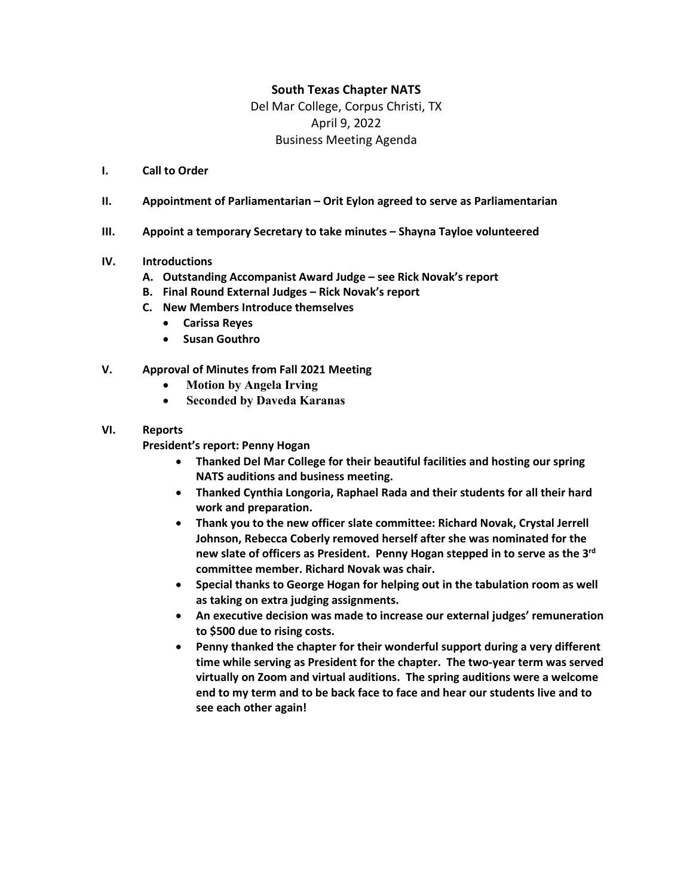# **South Texas Chapter NATS**

Del Mar College, Corpus Christi, TX April 9, 2022 Business Meeting Agenda

- **I. Call to Order**
- **II. Appointment of Parliamentarian – Orit Eylon agreed to serve as Parliamentarian**
- **III. Appoint a temporary Secretary to take minutes – Shayna Tayloe volunteered**

## **IV. Introductions**

- **A. Outstanding Accompanist Award Judge – see Rick Novak's report**
- **B. Final Round External Judges – Rick Novak's report**
- **C. New Members Introduce themselves**
	- **Carissa Reyes**
	- **Susan Gouthro**
- **V. Approval of Minutes from Fall 2021 Meeting**
	- **Motion by Angela Irving**
	- **Seconded by Daveda Karanas**
- **VI. Reports**

**President's report: Penny Hogan**

- **Thanked Del Mar College for their beautiful facilities and hosting our spring NATS auditions and business meeting.**
- **Thanked Cynthia Longoria, Raphael Rada and their students for all their hard work and preparation.**
- **Thank you to the new officer slate committee: Richard Novak, Crystal Jerrell Johnson, Rebecca Coberly removed herself after she was nominated for the new slate of officers as President. Penny Hogan stepped in to serve as the 3rd committee member. Richard Novak was chair.**
- **Special thanks to George Hogan for helping out in the tabulation room as well as taking on extra judging assignments.**
- **An executive decision was made to increase our external judges' remuneration to \$500 due to rising costs.**
- **Penny thanked the chapter for their wonderful support during a very different time while serving as President for the chapter. The two-year term was served virtually on Zoom and virtual auditions. The spring auditions were a welcome end to my term and to be back face to face and hear our students live and to see each other again!**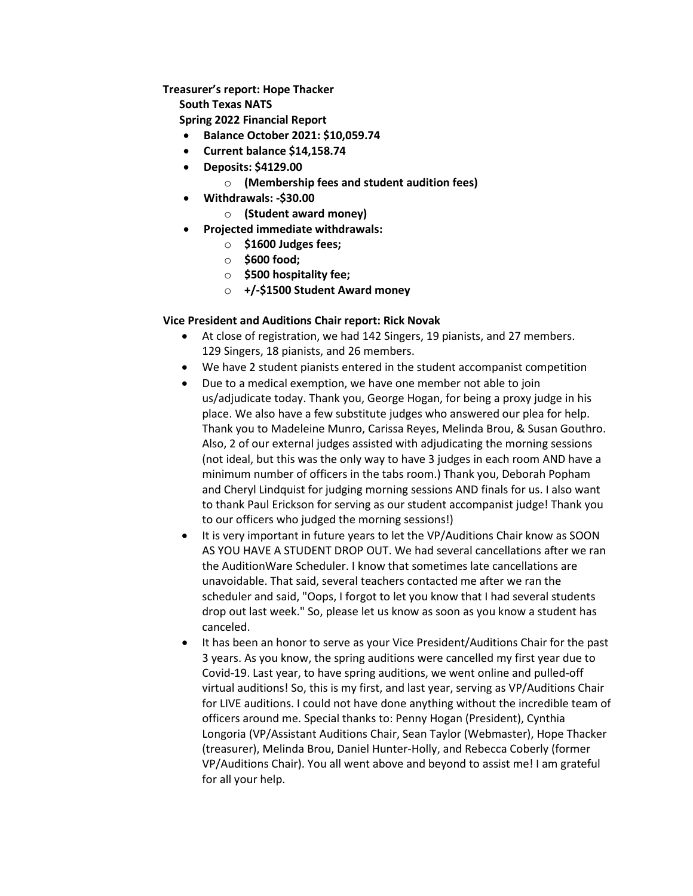**Treasurer's report: Hope Thacker**

**South Texas NATS**

**Spring 2022 Financial Report**

- **Balance October 2021: \$10,059.74**
- **Current balance \$14,158.74**
- **Deposits: \$4129.00**
	- o **(Membership fees and student audition fees)**
- **Withdrawals: -\$30.00** 
	- o **(Student award money)**
- **Projected immediate withdrawals:** 
	- o **\$1600 Judges fees;**
	- o **\$600 food;**
	- o **\$500 hospitality fee;**
	- o **+/-\$1500 Student Award money**

# **Vice President and Auditions Chair report: Rick Novak**

- At close of registration, we had 142 Singers, 19 pianists, and 27 members. 129 Singers, 18 pianists, and 26 members.
- We have 2 student pianists entered in the student accompanist competition
- Due to a medical exemption, we have one member not able to join us/adjudicate today. Thank you, George Hogan, for being a proxy judge in his place. We also have a few substitute judges who answered our plea for help. Thank you to Madeleine Munro, Carissa Reyes, Melinda Brou, & Susan Gouthro. Also, 2 of our external judges assisted with adjudicating the morning sessions (not ideal, but this was the only way to have 3 judges in each room AND have a minimum number of officers in the tabs room.) Thank you, Deborah Popham and Cheryl Lindquist for judging morning sessions AND finals for us. I also want to thank Paul Erickson for serving as our student accompanist judge! Thank you to our officers who judged the morning sessions!)
- It is very important in future years to let the VP/Auditions Chair know as SOON AS YOU HAVE A STUDENT DROP OUT. We had several cancellations after we ran the AuditionWare Scheduler. I know that sometimes late cancellations are unavoidable. That said, several teachers contacted me after we ran the scheduler and said, "Oops, I forgot to let you know that I had several students drop out last week." So, please let us know as soon as you know a student has canceled.
- It has been an honor to serve as your Vice President/Auditions Chair for the past 3 years. As you know, the spring auditions were cancelled my first year due to Covid-19. Last year, to have spring auditions, we went online and pulled-off virtual auditions! So, this is my first, and last year, serving as VP/Auditions Chair for LIVE auditions. I could not have done anything without the incredible team of officers around me. Special thanks to: Penny Hogan (President), Cynthia Longoria (VP/Assistant Auditions Chair, Sean Taylor (Webmaster), Hope Thacker (treasurer), Melinda Brou, Daniel Hunter-Holly, and Rebecca Coberly (former VP/Auditions Chair). You all went above and beyond to assist me! I am grateful for all your help.